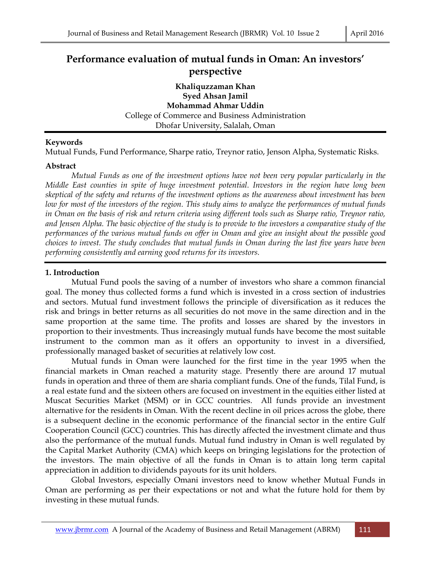# **Performance evaluation of mutual funds in Oman: An investors' perspective**

**Khaliquzzaman Khan Syed Ahsan Jamil Mohammad Ahmar Uddin**  College of Commerce and Business Administration Dhofar University, Salalah, Oman

#### **Keywords**

Mutual Funds, Fund Performance, Sharpe ratio, Treynor ratio, Jenson Alpha, Systematic Risks.

#### **Abstract**

 *Mutual Funds as one of the investment options have not been very popular particularly in the Middle East counties in spite of huge investment potential. Investors in the region have long been skeptical of the safety and returns of the investment options as the awareness about investment has been low for most of the investors of the region. This study aims to analyze the performances of mutual funds in Oman on the basis of risk and return criteria using different tools such as Sharpe ratio, Treynor ratio, and Jensen Alpha. The basic objective of the study is to provide to the investors a comparative study of the performances of the various mutual funds on offer in Oman and give an insight about the possible good choices to invest. The study concludes that mutual funds in Oman during the last five years have been performing consistently and earning good returns for its investors.* 

#### **1. Introduction**

 Mutual Fund pools the saving of a number of investors who share a common financial goal. The money thus collected forms a fund which is invested in a cross section of industries and sectors. Mutual fund investment follows the principle of diversification as it reduces the risk and brings in better returns as all securities do not move in the same direction and in the same proportion at the same time. The profits and losses are shared by the investors in proportion to their investments. Thus increasingly mutual funds have become the most suitable instrument to the common man as it offers an opportunity to invest in a diversified, professionally managed basket of securities at relatively low cost.

 Mutual funds in Oman were launched for the first time in the year 1995 when the financial markets in Oman reached a maturity stage. Presently there are around 17 mutual funds in operation and three of them are sharia compliant funds. One of the funds, Tilal Fund, is a real estate fund and the sixteen others are focused on investment in the equities either listed at Muscat Securities Market (MSM) or in GCC countries. All funds provide an investment alternative for the residents in Oman. With the recent decline in oil prices across the globe, there is a subsequent decline in the economic performance of the financial sector in the entire Gulf Cooperation Council (GCC) countries. This has directly affected the investment climate and thus also the performance of the mutual funds. Mutual fund industry in Oman is well regulated by the Capital Market Authority (CMA) which keeps on bringing legislations for the protection of the investors. The main objective of all the funds in Oman is to attain long term capital appreciation in addition to dividends payouts for its unit holders.

 Global Investors, especially Omani investors need to know whether Mutual Funds in Oman are performing as per their expectations or not and what the future hold for them by investing in these mutual funds.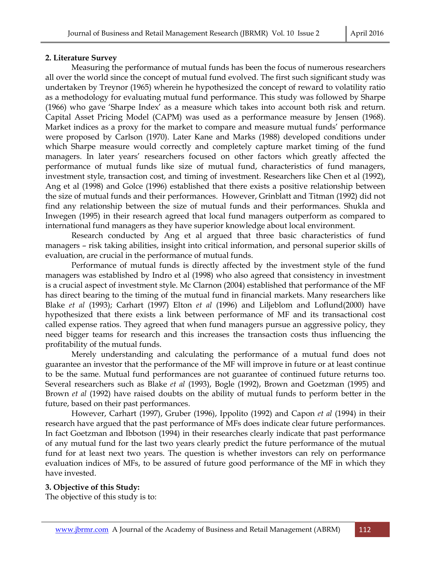#### **2. Literature Survey**

 Measuring the performance of mutual funds has been the focus of numerous researchers all over the world since the concept of mutual fund evolved. The first such significant study was undertaken by Treynor (1965) wherein he hypothesized the concept of reward to volatility ratio as a methodology for evaluating mutual fund performance. This study was followed by Sharpe (1966) who gave 'Sharpe Index' as a measure which takes into account both risk and return. Capital Asset Pricing Model (CAPM) was used as a performance measure by Jensen (1968). Market indices as a proxy for the market to compare and measure mutual funds' performance were proposed by Carlson (1970). Later Kane and Marks (1988) developed conditions under which Sharpe measure would correctly and completely capture market timing of the fund managers. In later years' researchers focused on other factors which greatly affected the performance of mutual funds like size of mutual fund, characteristics of fund managers, investment style, transaction cost, and timing of investment. Researchers like Chen et al (1992), Ang et al (1998) and Golce (1996) established that there exists a positive relationship between the size of mutual funds and their performances. However, Grinblatt and Titman (1992) did not find any relationship between the size of mutual funds and their performances. Shukla and Inwegen (1995) in their research agreed that local fund managers outperform as compared to international fund managers as they have superior knowledge about local environment.

 Research conducted by Ang et al argued that three basic characteristics of fund managers – risk taking abilities, insight into critical information, and personal superior skills of evaluation, are crucial in the performance of mutual funds.

 Performance of mutual funds is directly affected by the investment style of the fund managers was established by Indro et al (1998) who also agreed that consistency in investment is a crucial aspect of investment style. Mc Clarnon (2004) established that performance of the MF has direct bearing to the timing of the mutual fund in financial markets. Many researchers like Blake *et al* (1993); Carhart (1997) Elton *et al* (1996) and Liljeblom and Loflund(2000) have hypothesized that there exists a link between performance of MF and its transactional cost called expense ratios. They agreed that when fund managers pursue an aggressive policy, they need bigger teams for research and this increases the transaction costs thus influencing the profitability of the mutual funds.

 Merely understanding and calculating the performance of a mutual fund does not guarantee an investor that the performance of the MF will improve in future or at least continue to be the same. Mutual fund performances are not guarantee of continued future returns too. Several researchers such as Blake *et al* (1993), Bogle (1992), Brown and Goetzman (1995) and Brown *et al* (1992) have raised doubts on the ability of mutual funds to perform better in the future, based on their past performances.

 However, Carhart (1997), Gruber (1996), Ippolito (1992) and Capon *et al* (1994) in their research have argued that the past performance of MFs does indicate clear future performances. In fact Goetzman and Ibbotson (1994) in their researches clearly indicate that past performance of any mutual fund for the last two years clearly predict the future performance of the mutual fund for at least next two years. The question is whether investors can rely on performance evaluation indices of MFs, to be assured of future good performance of the MF in which they have invested.

#### **3. Objective of this Study:**

The objective of this study is to: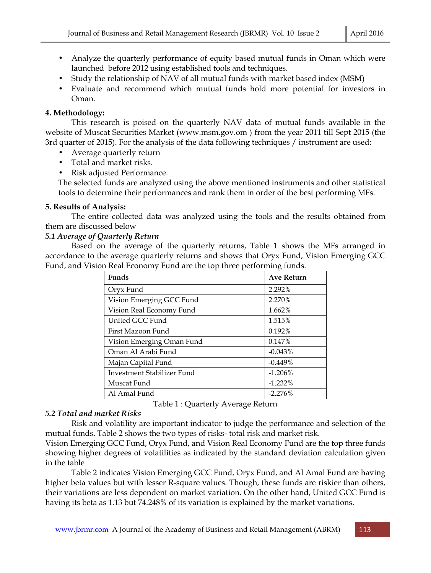- Analyze the quarterly performance of equity based mutual funds in Oman which were launched before 2012 using established tools and techniques.
- Study the relationship of NAV of all mutual funds with market based index (MSM)
- Evaluate and recommend which mutual funds hold more potential for investors in Oman.

## **4. Methodology:**

 This research is poised on the quarterly NAV data of mutual funds available in the website of Muscat Securities Market (www.msm.gov.om ) from the year 2011 till Sept 2015 (the 3rd quarter of 2015). For the analysis of the data following techniques / instrument are used:

- Average quarterly return
- Total and market risks.
- Risk adjusted Performance.

The selected funds are analyzed using the above mentioned instruments and other statistical tools to determine their performances and rank them in order of the best performing MFs.

# **5. Results of Analysis:**

 The entire collected data was analyzed using the tools and the results obtained from them are discussed below

## *5.1 Average of Quarterly Return*

 Based on the average of the quarterly returns, Table 1 shows the MFs arranged in accordance to the average quarterly returns and shows that Oryx Fund, Vision Emerging GCC Fund, and Vision Real Economy Fund are the top three performing funds.

| <b>Funds</b>               | <b>Ave Return</b> |
|----------------------------|-------------------|
| Oryx Fund                  | 2.292%            |
| Vision Emerging GCC Fund   | 2.270%            |
| Vision Real Economy Fund   | 1.662%            |
| United GCC Fund            | 1.515%            |
| First Mazoon Fund          | $0.192\%$         |
| Vision Emerging Oman Fund  | 0.147%            |
| Oman Al Arabi Fund         | $-0.043%$         |
| Majan Capital Fund         | $-0.449%$         |
| Investment Stabilizer Fund | $-1.206\%$        |
| Muscat Fund                | $-1.232\%$        |
| Al Amal Fund               | $-2.276%$         |

Table 1 : Quarterly Average Return

# *5.2 Total and market Risks*

 Risk and volatility are important indicator to judge the performance and selection of the mutual funds. Table 2 shows the two types of risks- total risk and market risk.

Vision Emerging GCC Fund, Oryx Fund, and Vision Real Economy Fund are the top three funds showing higher degrees of volatilities as indicated by the standard deviation calculation given in the table

Table 2 indicates Vision Emerging GCC Fund, Oryx Fund, and Al Amal Fund are having higher beta values but with lesser R-square values. Though, these funds are riskier than others, their variations are less dependent on market variation. On the other hand, United GCC Fund is having its beta as 1.13 but 74.248% of its variation is explained by the market variations.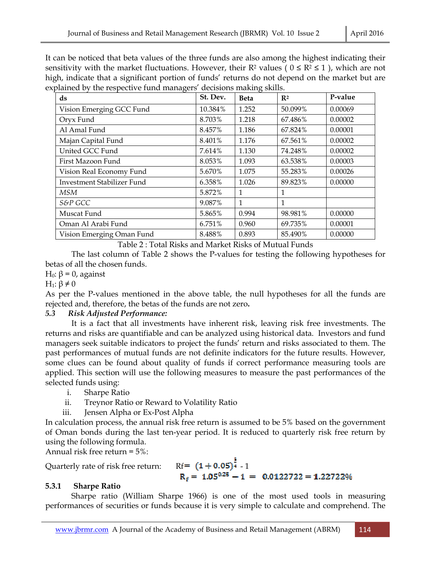It can be noticed that beta values of the three funds are also among the highest indicating their sensitivity with the market fluctuations. However, their  $\mathbb{R}^2$  values (  $0 \leq \mathbb{R}^2 \leq 1$  ), which are not high, indicate that a significant portion of funds' returns do not depend on the market but are explained by the respective fund managers' decisions making skills.

| ັ                          |          |             |                |         |
|----------------------------|----------|-------------|----------------|---------|
| $\bf ds$                   | St. Dev. | <b>Beta</b> | $\mathbb{R}^2$ | P-value |
| Vision Emerging GCC Fund   | 10.384%  | 1.252       | 50.099%        | 0.00069 |
| Oryx Fund                  | 8.703%   | 1.218       | 67.486%        | 0.00002 |
| Al Amal Fund               | 8.457%   | 1.186       | 67.824%        | 0.00001 |
| Majan Capital Fund         | 8.401%   | 1.176       | 67.561%        | 0.00002 |
| United GCC Fund            | 7.614%   | 1.130       | 74.248%        | 0.00002 |
| First Mazoon Fund          | 8.053%   | 1.093       | 63.538%        | 0.00003 |
| Vision Real Economy Fund   | 5.670%   | 1.075       | 55.283%        | 0.00026 |
| Investment Stabilizer Fund | 6.358%   | 1.026       | 89.823%        | 0.00000 |
| MSM                        | 5.872%   | 1           | 1              |         |
| S&P GCC                    | 9.087%   | 1           | 1              |         |
| Muscat Fund                | 5.865%   | 0.994       | 98.981%        | 0.00000 |
| Oman Al Arabi Fund         | 6.751%   | 0.960       | 69.735%        | 0.00001 |
| Vision Emerging Oman Fund  | 8.488%   | 0.893       | 85.490%        | 0.00000 |

Table 2 : Total Risks and Market Risks of Mutual Funds

 The last column of Table 2 shows the P-values for testing the following hypotheses for betas of all the chosen funds.

H<sub>0</sub>:  $β = 0$ , against

H<sub>1</sub>:  $\beta \neq 0$ 

As per the P-values mentioned in the above table, the null hypotheses for all the funds are rejected and, therefore, the betas of the funds are not zero**.** 

## *5.3 Risk Adjusted Performance:*

 It is a fact that all investments have inherent risk, leaving risk free investments. The returns and risks are quantifiable and can be analyzed using historical data. Investors and fund managers seek suitable indicators to project the funds' return and risks associated to them. The past performances of mutual funds are not definite indicators for the future results. However, some clues can be found about quality of funds if correct performance measuring tools are applied. This section will use the following measures to measure the past performances of the selected funds using:

i. Sharpe Ratio

ii. Treynor Ratio or Reward to Volatility Ratio

iii. Jensen Alpha or Ex-Post Alpha

In calculation process, the annual risk free return is assumed to be 5% based on the government of Oman bonds during the last ten-year period. It is reduced to quarterly risk free return by using the following formula.

Annual risk free return = 5%:

Quarterly rate of risk free return:

# Rf=  $(1+0.05)^{\frac{1}{4}}$  - 1<br>R<sub>f</sub> = 1.05<sup>0.25</sup> - 1 = 0.0122722 = 1.22722%

## **5.3.1 Sharpe Ratio**

 Sharpe ratio (William Sharpe 1966) is one of the most used tools in measuring performances of securities or funds because it is very simple to calculate and comprehend. The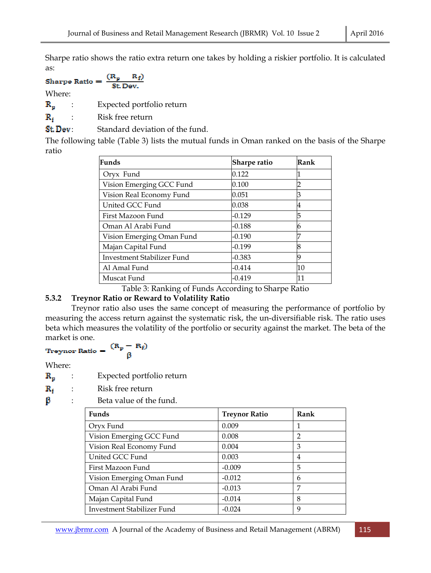Sharpe ratio shows the ratio extra return one takes by holding a riskier portfolio. It is calculated as:

$$
\text{Sharpe Ratio} = \frac{(\text{R}_p - \text{R}_f)}{\text{St Dev.}}
$$

Where:

 $\mathbf{R}_{\mathbf{n}}$  : Expected portfolio return

 $\mathbf{R}_{\mathbf{f}}$  : Risk free return

**St. Dev**: Standard deviation of the fund.

The following table (Table 3) lists the mutual funds in Oman ranked on the basis of the Sharpe ratio

| Funds                      | <b>Sharpe ratio</b> | Rank |
|----------------------------|---------------------|------|
| Oryx Fund                  | 0.122               |      |
| Vision Emerging GCC Fund   | 0.100               | 2    |
| Vision Real Economy Fund   | 0.051               | 3    |
| United GCC Fund            | 0.038               | 4    |
| First Mazoon Fund          | $-0.129$            | 5    |
| Oman Al Arabi Fund         | $-0.188$            | 6    |
| Vision Emerging Oman Fund  | $-0.190$            | 7    |
| Majan Capital Fund         | $-0.199$            | 8    |
| Investment Stabilizer Fund | $-0.383$            | q    |
| Al Amal Fund               | $-0.414$            | 10   |
| Muscat Fund                | -0.419              | 11   |

Table 3: Ranking of Funds According to Sharpe Ratio

## **5.3.2 Treynor Ratio or Reward to Volatility Ratio**

 Treynor ratio also uses the same concept of measuring the performance of portfolio by measuring the access return against the systematic risk, the un-diversifiable risk. The ratio uses beta which measures the volatility of the portfolio or security against the market. The beta of the

market is one.<br>Treynor Ratio =  $\frac{(R_p - R_f)}{\beta}$ 

Where:

 $\mathbf{R}_{p}$  : Expected portfolio return

 $\mathbf{R}_{\mathbf{f}}$  : Risk free return

 $\beta$  : Beta value of the fund.

| <b>Funds</b>                      | <b>Treynor Ratio</b> | Rank           |
|-----------------------------------|----------------------|----------------|
| Oryx Fund                         | 0.009                | 1              |
| Vision Emerging GCC Fund          | 0.008                | $\mathfrak{p}$ |
| Vision Real Economy Fund          | 0.004                | 3              |
| United GCC Fund                   | 0.003                | 4              |
| First Mazoon Fund                 | $-0.009$             | 5              |
| Vision Emerging Oman Fund         | $-0.012$             | 6              |
| Oman Al Arabi Fund                | $-0.013$             | 7              |
| Majan Capital Fund                | $-0.014$             | 8              |
| <b>Investment Stabilizer Fund</b> | $-0.024$             | q              |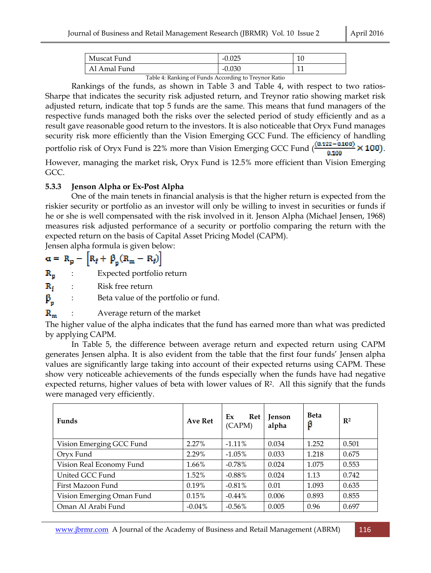| Muscat Fund  | $-0.025$ | 10  |
|--------------|----------|-----|
| Al Amal Fund | $-0.030$ | - - |

Table 4: Ranking of Funds According to Treynor Ratio

 Rankings of the funds, as shown in Table 3 and Table 4, with respect to two ratios-Sharpe that indicates the security risk adjusted return, and Treynor ratio showing market risk adjusted return, indicate that top 5 funds are the same. This means that fund managers of the respective funds managed both the risks over the selected period of study efficiently and as a result gave reasonable good return to the investors. It is also noticeable that Oryx Fund manages security risk more efficiently than the Vision Emerging GCC Fund. The efficiency of handling portfolio risk of Oryx Fund is 22% more than Vision Emerging GCC Fund  $\left(\frac{(0.122 - 0.100)}{0.100}\right)$  × 100).

However, managing the market risk, Oryx Fund is 12.5% more efficient than Vision Emerging GCC.

## **5.3.3 Jenson Alpha or Ex-Post Alpha**

 One of the main tenets in financial analysis is that the higher return is expected from the riskier security or portfolio as an investor will only be willing to invest in securities or funds if he or she is well compensated with the risk involved in it. Jenson Alpha (Michael Jensen, 1968) measures risk adjusted performance of a security or portfolio comparing the return with the expected return on the basis of Capital Asset Pricing Model (CAPM).

Jensen alpha formula is given below:

 $\alpha = R_p - \left[ R_f + \beta_p (R_m - R_f) \right]$ 

 $\mathbf{R}_{p}$  : Expected portfolio return

 $\mathbf{R}_{\mathbf{f}}$  : Risk free return

 $\beta_n$  : Beta value of the portfolio or fund.

 $\mathbf{R}_{\mathbf{m}}$  : Average return of the market

The higher value of the alpha indicates that the fund has earned more than what was predicted by applying CAPM.

 In Table 5, the difference between average return and expected return using CAPM generates Jensen alpha. It is also evident from the table that the first four funds' Jensen alpha values are significantly large taking into account of their expected returns using CAPM. These show very noticeable achievements of the funds especially when the funds have had negative expected returns, higher values of beta with lower values of  $\mathbb{R}^2$ . All this signify that the funds were managed very efficiently.

| <b>Funds</b>              | Ave Ret   | Ex<br>Ret<br>(CAPM) | Jenson<br>alpha | <b>Beta</b><br>β | $\mathbb{R}^2$ |
|---------------------------|-----------|---------------------|-----------------|------------------|----------------|
| Vision Emerging GCC Fund  | 2.27%     | $-1.11\%$           | 0.034           | 1.252            | 0.501          |
| Oryx Fund                 | 2.29%     | $-1.05\%$           | 0.033           | 1.218            | 0.675          |
| Vision Real Economy Fund  | 1.66%     | $-0.78%$            | 0.024           | 1.075            | 0.553          |
| United GCC Fund           | 1.52%     | $-0.88%$            | 0.024           | 1.13             | 0.742          |
| First Mazoon Fund         | 0.19%     | $-0.81%$            | 0.01            | 1.093            | 0.635          |
| Vision Emerging Oman Fund | 0.15%     | $-0.44\%$           | 0.006           | 0.893            | 0.855          |
| Oman Al Arabi Fund        | $-0.04\%$ | $-0.56%$            | 0.005           | 0.96             | 0.697          |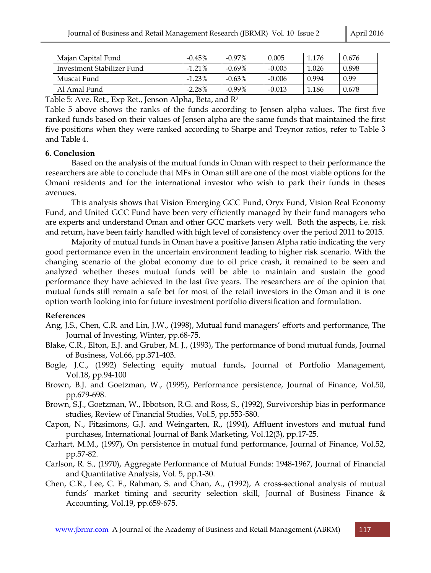| Majan Capital Fund         | $-0.45%$  | $-0.97\%$ | 0.005    | 1.176 | 0.676 |
|----------------------------|-----------|-----------|----------|-------|-------|
| Investment Stabilizer Fund | $-1.21%$  | $-0.69\%$ | $-0.005$ | 1.026 | 0.898 |
| Muscat Fund                | $-1.23%$  | $-0.63\%$ | $-0.006$ | 0.994 | 0.99  |
| Al Amal Fund               | $-2.28\%$ | $-0.99\%$ | $-0.013$ | 1.186 | 0.678 |

Table 5: Ave. Ret., Exp Ret., Jenson Alpha, Beta, and R<sup>2</sup>

Table 5 above shows the ranks of the funds according to Jensen alpha values. The first five ranked funds based on their values of Jensen alpha are the same funds that maintained the first five positions when they were ranked according to Sharpe and Treynor ratios, refer to Table 3 and Table 4.

## **6. Conclusion**

 Based on the analysis of the mutual funds in Oman with respect to their performance the researchers are able to conclude that MFs in Oman still are one of the most viable options for the Omani residents and for the international investor who wish to park their funds in theses avenues.

 This analysis shows that Vision Emerging GCC Fund, Oryx Fund, Vision Real Economy Fund, and United GCC Fund have been very efficiently managed by their fund managers who are experts and understand Oman and other GCC markets very well. Both the aspects, i.e. risk and return, have been fairly handled with high level of consistency over the period 2011 to 2015.

 Majority of mutual funds in Oman have a positive Jansen Alpha ratio indicating the very good performance even in the uncertain environment leading to higher risk scenario. With the changing scenario of the global economy due to oil price crash, it remained to be seen and analyzed whether theses mutual funds will be able to maintain and sustain the good performance they have achieved in the last five years. The researchers are of the opinion that mutual funds still remain a safe bet for most of the retail investors in the Oman and it is one option worth looking into for future investment portfolio diversification and formulation.

## **References**

- Ang, J.S., Chen, C.R. and Lin, J.W., (1998), Mutual fund managers' efforts and performance, The Journal of Investing, Winter, pp.68-75.
- Blake, C.R., Elton, E.J. and Gruber, M. J., (1993), The performance of bond mutual funds, Journal of Business, Vol.66, pp.371-403.
- Bogle, J.C., (1992) Selecting equity mutual funds, Journal of Portfolio Management, Vol.18, pp.94-100
- Brown, B.J. and Goetzman, W., (1995), Performance persistence, Journal of Finance, Vol.50, pp.679-698.
- Brown, S.J., Goetzman, W., Ibbotson, R.G. and Ross, S., (1992), Survivorship bias in performance studies, Review of Financial Studies, Vol.5, pp.553-580.
- Capon, N., Fitzsimons, G.J. and Weingarten, R., (1994), Affluent investors and mutual fund purchases, International Journal of Bank Marketing, Vol.12(3), pp.17-25.
- Carhart, M.M., (1997), On persistence in mutual fund performance, Journal of Finance, Vol.52, pp.57-82.
- Carlson, R. S., (1970), Aggregate Performance of Mutual Funds: 1948-1967, Journal of Financial and Quantitative Analysis, Vol. 5, pp.1-30.
- Chen, C.R., Lee, C. F., Rahman, S. and Chan, A., (1992), A cross-sectional analysis of mutual funds' market timing and security selection skill, Journal of Business Finance & Accounting, Vol.19, pp.659-675.